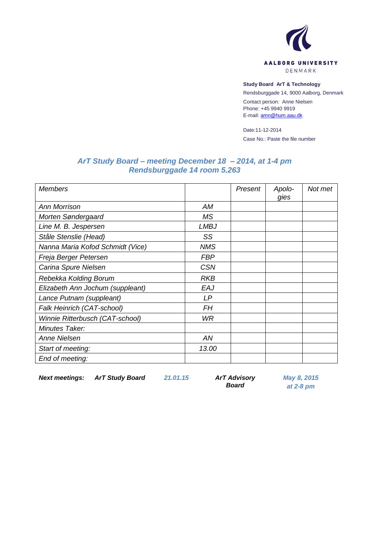

## **Study Board ArT & Technology**

Rendsburggade 14, 9000 Aalborg, Denmark

Contact person: Anne Nielsen Phone: +45 9940 9919 E-mail[: amn@hum.aau.dk](mailto:amn@hum.aau.dk)

Date:11-12-2014 Case No.: Paste the file number

## *ArT Study Board – meeting December 18 – 2014, at 1-4 pm Rendsburggade 14 room 5.263*

| <b>Members</b>                   |             | Present | Apolo-<br>gies | Not met |
|----------------------------------|-------------|---------|----------------|---------|
| <b>Ann Morrison</b>              | AM          |         |                |         |
| Morten Søndergaard               | MS.         |         |                |         |
| Line M. B. Jespersen             | <b>LMBJ</b> |         |                |         |
| Ståle Stenslie (Head)            | SS          |         |                |         |
| Nanna Maria Kofod Schmidt (Vice) | <b>NMS</b>  |         |                |         |
| Freja Berger Petersen            | <b>FBP</b>  |         |                |         |
| Carina Spure Nielsen             | <b>CSN</b>  |         |                |         |
| Rebekka Kolding Borum            | <b>RKB</b>  |         |                |         |
| Elizabeth Ann Jochum (suppleant) | EAJ         |         |                |         |
| Lance Putnam (suppleant)         | LP          |         |                |         |
| Falk Heinrich (CAT-school)       | FΗ          |         |                |         |
| Winnie Ritterbusch (CAT-school)  | <b>WR</b>   |         |                |         |
| Minutes Taker:                   |             |         |                |         |
| <b>Anne Nielsen</b>              | AN          |         |                |         |
| Start of meeting:                | 13.00       |         |                |         |
| End of meeting:                  |             |         |                |         |

*Next meetings: ArT Study Board 21.01.15 ArT Advisory* 

*Board*

*May 8, 2015 at 2-8 pm*